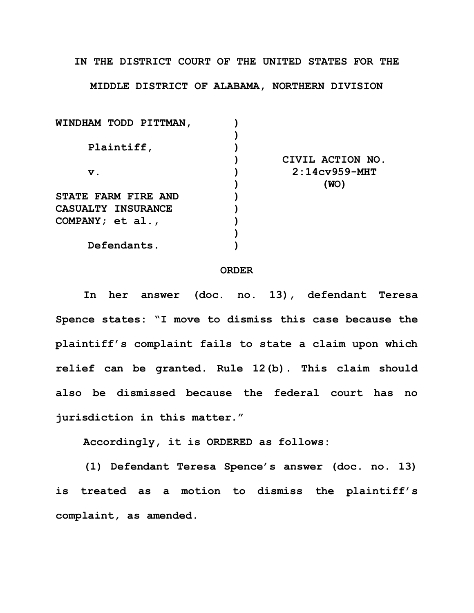**IN THE DISTRICT COURT OF THE UNITED STATES FOR THE**

**MIDDLE DISTRICT OF ALABAMA, NORTHERN DIVISION**

| CIVIL ACTION NO. |
|------------------|
| $2:14cy959-MHT$  |
| (WO)             |
|                  |
|                  |
|                  |
|                  |
|                  |
|                  |

## **ORDER**

**In her answer (doc. no. 13), defendant Teresa Spence states: "I move to dismiss this case because the plaintiff's complaint fails to state a claim upon which relief can be granted. Rule 12(b). This claim should also be dismissed because the federal court has no jurisdiction in this matter."**

**Accordingly, it is ORDERED as follows:**

**(1) Defendant Teresa Spence's answer (doc. no. 13) is treated as a motion to dismiss the plaintiff's complaint, as amended.**